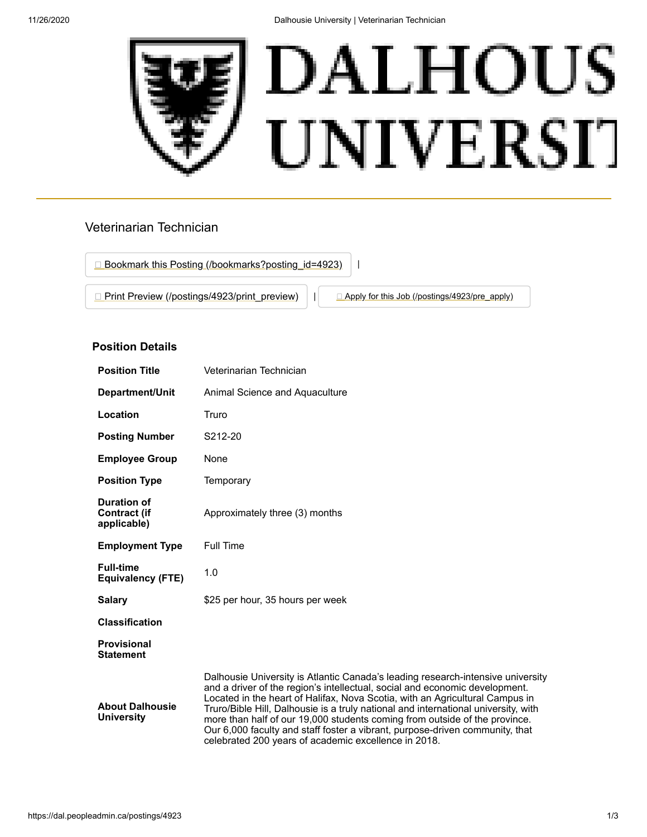

# Veterinarian Technician



## **Position Details**

| <b>Position Title</b>                             | Veterinarian Technician                                                                                                                                                                                                                                                                                                                                                                                                                                                                                                                                    |
|---------------------------------------------------|------------------------------------------------------------------------------------------------------------------------------------------------------------------------------------------------------------------------------------------------------------------------------------------------------------------------------------------------------------------------------------------------------------------------------------------------------------------------------------------------------------------------------------------------------------|
| Department/Unit                                   | Animal Science and Aquaculture                                                                                                                                                                                                                                                                                                                                                                                                                                                                                                                             |
| Location                                          | Truro                                                                                                                                                                                                                                                                                                                                                                                                                                                                                                                                                      |
| <b>Posting Number</b>                             | S212-20                                                                                                                                                                                                                                                                                                                                                                                                                                                                                                                                                    |
| <b>Employee Group</b>                             | None                                                                                                                                                                                                                                                                                                                                                                                                                                                                                                                                                       |
| <b>Position Type</b>                              | Temporary                                                                                                                                                                                                                                                                                                                                                                                                                                                                                                                                                  |
| Duration of<br><b>Contract (if</b><br>applicable) | Approximately three (3) months                                                                                                                                                                                                                                                                                                                                                                                                                                                                                                                             |
| <b>Employment Type</b>                            | <b>Full Time</b>                                                                                                                                                                                                                                                                                                                                                                                                                                                                                                                                           |
| <b>Full-time</b><br><b>Equivalency (FTE)</b>      | 1.0                                                                                                                                                                                                                                                                                                                                                                                                                                                                                                                                                        |
| <b>Salary</b>                                     | \$25 per hour, 35 hours per week                                                                                                                                                                                                                                                                                                                                                                                                                                                                                                                           |
| <b>Classification</b>                             |                                                                                                                                                                                                                                                                                                                                                                                                                                                                                                                                                            |
| <b>Provisional</b><br><b>Statement</b>            |                                                                                                                                                                                                                                                                                                                                                                                                                                                                                                                                                            |
| <b>About Dalhousie</b><br><b>University</b>       | Dalhousie University is Atlantic Canada's leading research-intensive university<br>and a driver of the region's intellectual, social and economic development.<br>Located in the heart of Halifax, Nova Scotia, with an Agricultural Campus in<br>Truro/Bible Hill, Dalhousie is a truly national and international university, with<br>more than half of our 19,000 students coming from outside of the province.<br>Our 6,000 faculty and staff foster a vibrant, purpose-driven community, that<br>celebrated 200 years of academic excellence in 2018. |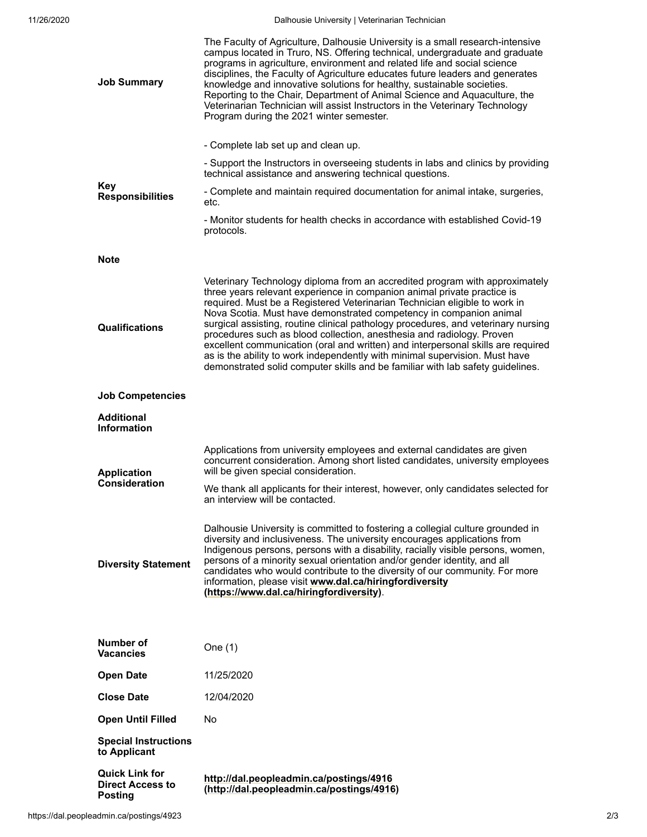| <b>Job Summary</b>                                                 | The Faculty of Agriculture, Dalhousie University is a small research-intensive<br>campus located in Truro, NS. Offering technical, undergraduate and graduate<br>programs in agriculture, environment and related life and social science<br>disciplines, the Faculty of Agriculture educates future leaders and generates<br>knowledge and innovative solutions for healthy, sustainable societies.<br>Reporting to the Chair, Department of Animal Science and Aquaculture, the<br>Veterinarian Technician will assist Instructors in the Veterinary Technology<br>Program during the 2021 winter semester.                                                                                                                 |
|--------------------------------------------------------------------|-------------------------------------------------------------------------------------------------------------------------------------------------------------------------------------------------------------------------------------------------------------------------------------------------------------------------------------------------------------------------------------------------------------------------------------------------------------------------------------------------------------------------------------------------------------------------------------------------------------------------------------------------------------------------------------------------------------------------------|
|                                                                    | - Complete lab set up and clean up.                                                                                                                                                                                                                                                                                                                                                                                                                                                                                                                                                                                                                                                                                           |
| <b>Key</b><br><b>Responsibilities</b>                              | - Support the Instructors in overseeing students in labs and clinics by providing<br>technical assistance and answering technical questions.                                                                                                                                                                                                                                                                                                                                                                                                                                                                                                                                                                                  |
|                                                                    | - Complete and maintain required documentation for animal intake, surgeries,<br>etc.                                                                                                                                                                                                                                                                                                                                                                                                                                                                                                                                                                                                                                          |
|                                                                    | - Monitor students for health checks in accordance with established Covid-19<br>protocols.                                                                                                                                                                                                                                                                                                                                                                                                                                                                                                                                                                                                                                    |
| <b>Note</b>                                                        |                                                                                                                                                                                                                                                                                                                                                                                                                                                                                                                                                                                                                                                                                                                               |
| Qualifications                                                     | Veterinary Technology diploma from an accredited program with approximately<br>three years relevant experience in companion animal private practice is<br>required. Must be a Registered Veterinarian Technician eligible to work in<br>Nova Scotia. Must have demonstrated competency in companion animal<br>surgical assisting, routine clinical pathology procedures, and veterinary nursing<br>procedures such as blood collection, anesthesia and radiology. Proven<br>excellent communication (oral and written) and interpersonal skills are required<br>as is the ability to work independently with minimal supervision. Must have<br>demonstrated solid computer skills and be familiar with lab safety guidelines. |
| <b>Job Competencies</b>                                            |                                                                                                                                                                                                                                                                                                                                                                                                                                                                                                                                                                                                                                                                                                                               |
| Additional<br><b>Information</b>                                   |                                                                                                                                                                                                                                                                                                                                                                                                                                                                                                                                                                                                                                                                                                                               |
| <b>Application</b><br>Consideration                                | Applications from university employees and external candidates are given<br>concurrent consideration. Among short listed candidates, university employees<br>will be given special consideration.                                                                                                                                                                                                                                                                                                                                                                                                                                                                                                                             |
|                                                                    | We thank all applicants for their interest, however, only candidates selected for<br>an interview will be contacted.                                                                                                                                                                                                                                                                                                                                                                                                                                                                                                                                                                                                          |
| <b>Diversity Statement</b>                                         | Dalhousie University is committed to fostering a collegial culture grounded in<br>diversity and inclusiveness. The university encourages applications from<br>Indigenous persons, persons with a disability, racially visible persons, women,<br>persons of a minority sexual orientation and/or gender identity, and all<br>candidates who would contribute to the diversity of our community. For more<br>information, please visit www.dal.ca/hiringfordiversity<br>(https://www.dal.ca/hiringfordiversity).                                                                                                                                                                                                               |
|                                                                    |                                                                                                                                                                                                                                                                                                                                                                                                                                                                                                                                                                                                                                                                                                                               |
| Number of<br><b>Vacancies</b>                                      | One (1)                                                                                                                                                                                                                                                                                                                                                                                                                                                                                                                                                                                                                                                                                                                       |
| <b>Open Date</b>                                                   | 11/25/2020                                                                                                                                                                                                                                                                                                                                                                                                                                                                                                                                                                                                                                                                                                                    |
| <b>Close Date</b>                                                  | 12/04/2020                                                                                                                                                                                                                                                                                                                                                                                                                                                                                                                                                                                                                                                                                                                    |
| <b>Open Until Filled</b>                                           | No.                                                                                                                                                                                                                                                                                                                                                                                                                                                                                                                                                                                                                                                                                                                           |
| <b>Special Instructions</b><br>to Applicant                        |                                                                                                                                                                                                                                                                                                                                                                                                                                                                                                                                                                                                                                                                                                                               |
| <b>Quick Link for</b><br><b>Direct Access to</b><br><b>Posting</b> | http://dal.peopleadmin.ca/postings/4916<br>(http://dal.peopleadmin.ca/postings/4916)                                                                                                                                                                                                                                                                                                                                                                                                                                                                                                                                                                                                                                          |